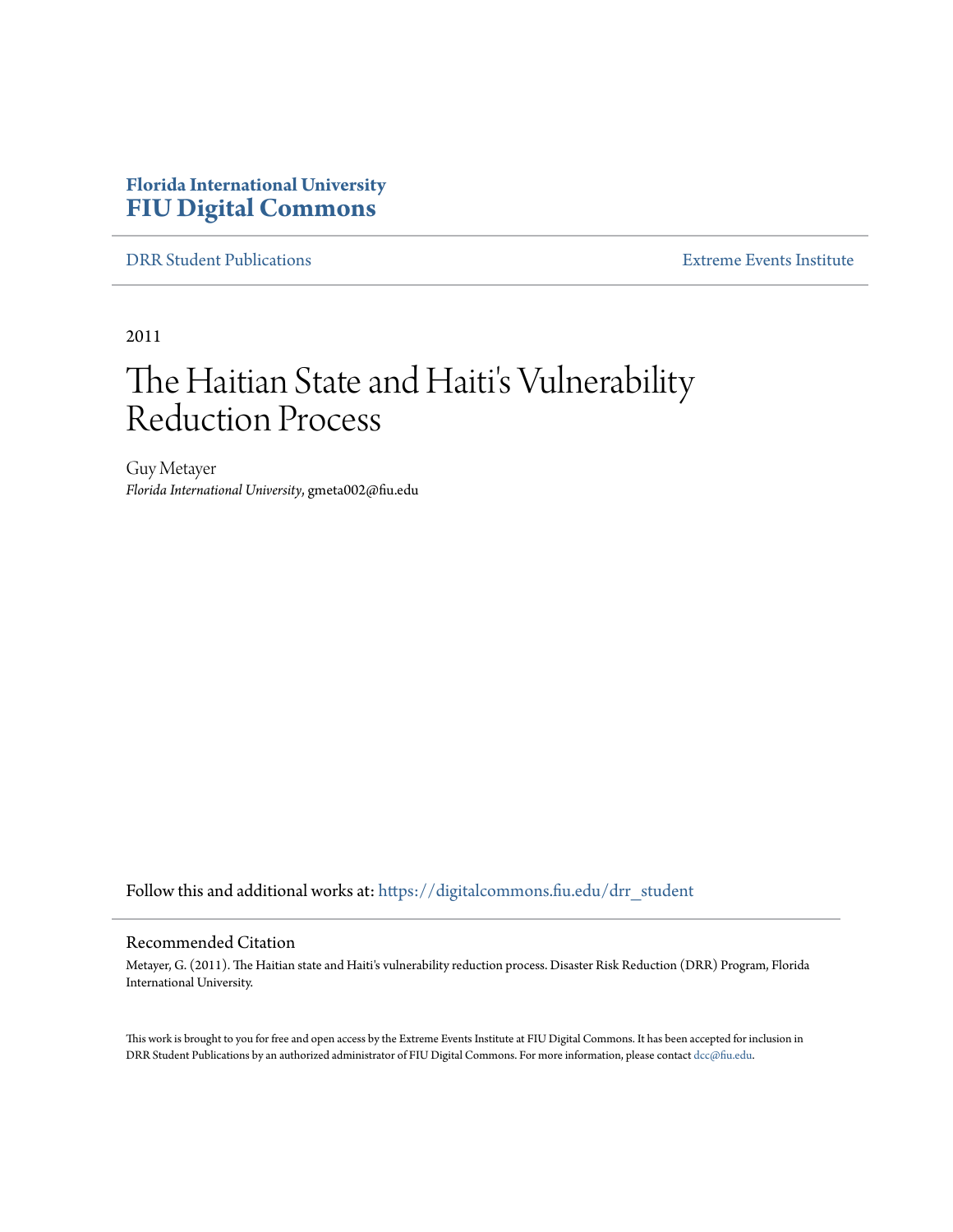### **Florida International University [FIU Digital Commons](https://digitalcommons.fiu.edu?utm_source=digitalcommons.fiu.edu%2Fdrr_student%2F10&utm_medium=PDF&utm_campaign=PDFCoverPages)**

[DRR Student Publications](https://digitalcommons.fiu.edu/drr_student?utm_source=digitalcommons.fiu.edu%2Fdrr_student%2F10&utm_medium=PDF&utm_campaign=PDFCoverPages) [Extreme Events Institute](https://digitalcommons.fiu.edu/drr?utm_source=digitalcommons.fiu.edu%2Fdrr_student%2F10&utm_medium=PDF&utm_campaign=PDFCoverPages)

2011

# The Haitian State and Haiti's Vulnerability Reduction Process

Guy Metayer *Florida International University*, gmeta002@fiu.edu

Follow this and additional works at: [https://digitalcommons.fiu.edu/drr\\_student](https://digitalcommons.fiu.edu/drr_student?utm_source=digitalcommons.fiu.edu%2Fdrr_student%2F10&utm_medium=PDF&utm_campaign=PDFCoverPages)

### Recommended Citation

Metayer, G. (2011). The Haitian state and Haiti's vulnerability reduction process. Disaster Risk Reduction (DRR) Program, Florida International University.

This work is brought to you for free and open access by the Extreme Events Institute at FIU Digital Commons. It has been accepted for inclusion in DRR Student Publications by an authorized administrator of FIU Digital Commons. For more information, please contact [dcc@fiu.edu](mailto:dcc@fiu.edu).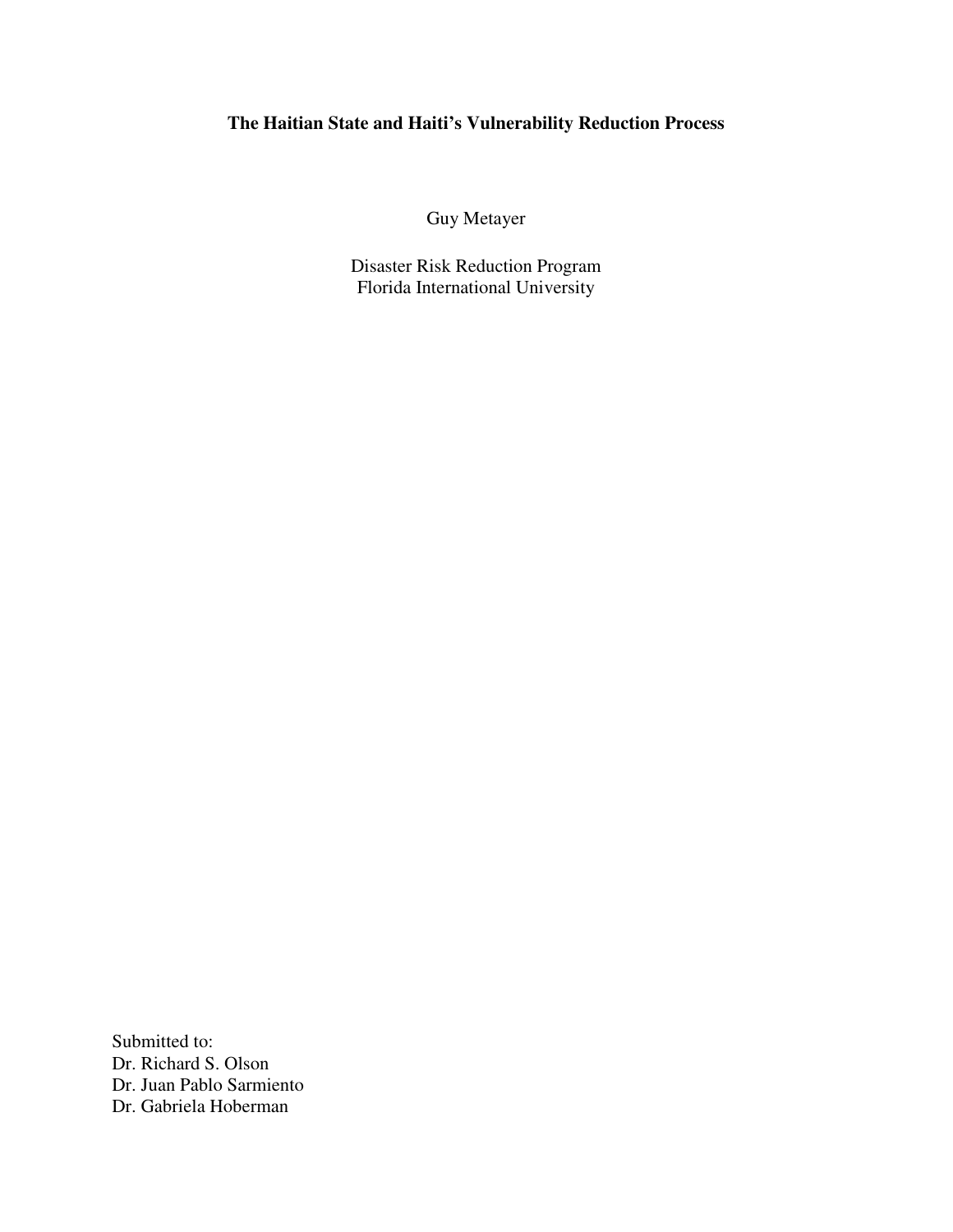### **The Haitian State and Haiti's Vulnerability Reduction Process**

Guy Metayer

Disaster Risk Reduction Program Florida International University

Submitted to: Dr. Richard S. Olson Dr. Juan Pablo Sarmiento Dr. Gabriela Hoberman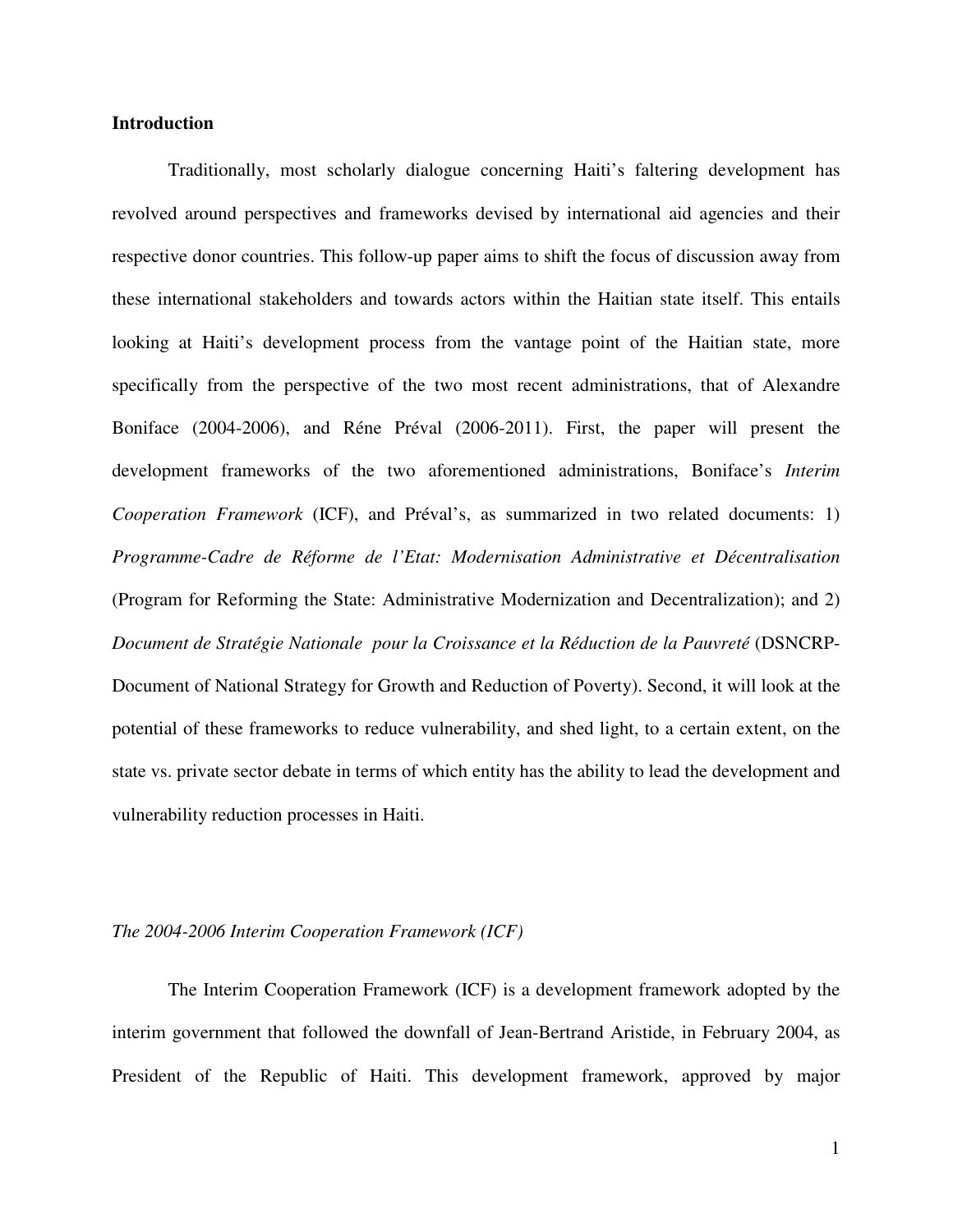### **Introduction**

Traditionally, most scholarly dialogue concerning Haiti's faltering development has revolved around perspectives and frameworks devised by international aid agencies and their respective donor countries. This follow-up paper aims to shift the focus of discussion away from these international stakeholders and towards actors within the Haitian state itself. This entails looking at Haiti's development process from the vantage point of the Haitian state, more specifically from the perspective of the two most recent administrations, that of Alexandre Boniface (2004-2006), and Réne Préval (2006-2011). First, the paper will present the development frameworks of the two aforementioned administrations, Boniface's *Interim Cooperation Framework* (ICF), and Préval's, as summarized in two related documents: 1) *Programme-Cadre de Réforme de l'Etat: Modernisation Administrative et Décentralisation* (Program for Reforming the State: Administrative Modernization and Decentralization); and 2) *Document de Stratégie Nationale pour la Croissance et la Réduction de la Pauvreté* (DSNCRP-Document of National Strategy for Growth and Reduction of Poverty). Second, it will look at the potential of these frameworks to reduce vulnerability, and shed light, to a certain extent, on the state vs. private sector debate in terms of which entity has the ability to lead the development and vulnerability reduction processes in Haiti.

#### *The 2004-2006 Interim Cooperation Framework (ICF)*

The Interim Cooperation Framework (ICF) is a development framework adopted by the interim government that followed the downfall of Jean-Bertrand Aristide, in February 2004, as President of the Republic of Haiti. This development framework, approved by major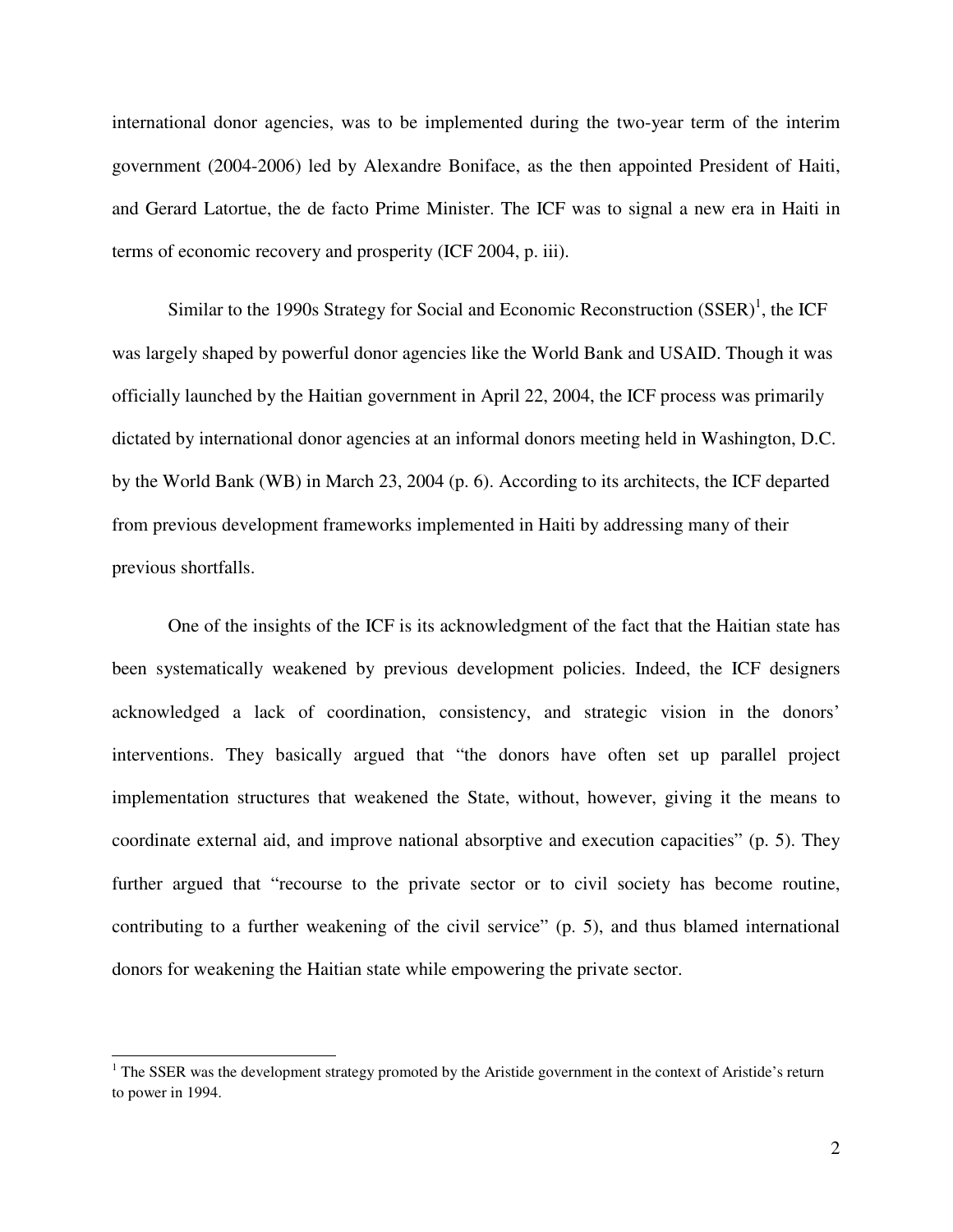international donor agencies, was to be implemented during the two-year term of the interim government (2004-2006) led by Alexandre Boniface, as the then appointed President of Haiti, and Gerard Latortue, the de facto Prime Minister. The ICF was to signal a new era in Haiti in terms of economic recovery and prosperity (ICF 2004, p. iii).

Similar to the 1990s Strategy for Social and Economic Reconstruction  $(SSER)^1$ , the ICF was largely shaped by powerful donor agencies like the World Bank and USAID. Though it was officially launched by the Haitian government in April 22, 2004, the ICF process was primarily dictated by international donor agencies at an informal donors meeting held in Washington, D.C. by the World Bank (WB) in March 23, 2004 (p. 6). According to its architects, the ICF departed from previous development frameworks implemented in Haiti by addressing many of their previous shortfalls.

One of the insights of the ICF is its acknowledgment of the fact that the Haitian state has been systematically weakened by previous development policies. Indeed, the ICF designers acknowledged a lack of coordination, consistency, and strategic vision in the donors' interventions. They basically argued that "the donors have often set up parallel project implementation structures that weakened the State, without, however, giving it the means to coordinate external aid, and improve national absorptive and execution capacities" (p. 5). They further argued that "recourse to the private sector or to civil society has become routine, contributing to a further weakening of the civil service" (p. 5), and thus blamed international donors for weakening the Haitian state while empowering the private sector.

<sup>&</sup>lt;sup>1</sup> The SSER was the development strategy promoted by the Aristide government in the context of Aristide's return to power in 1994.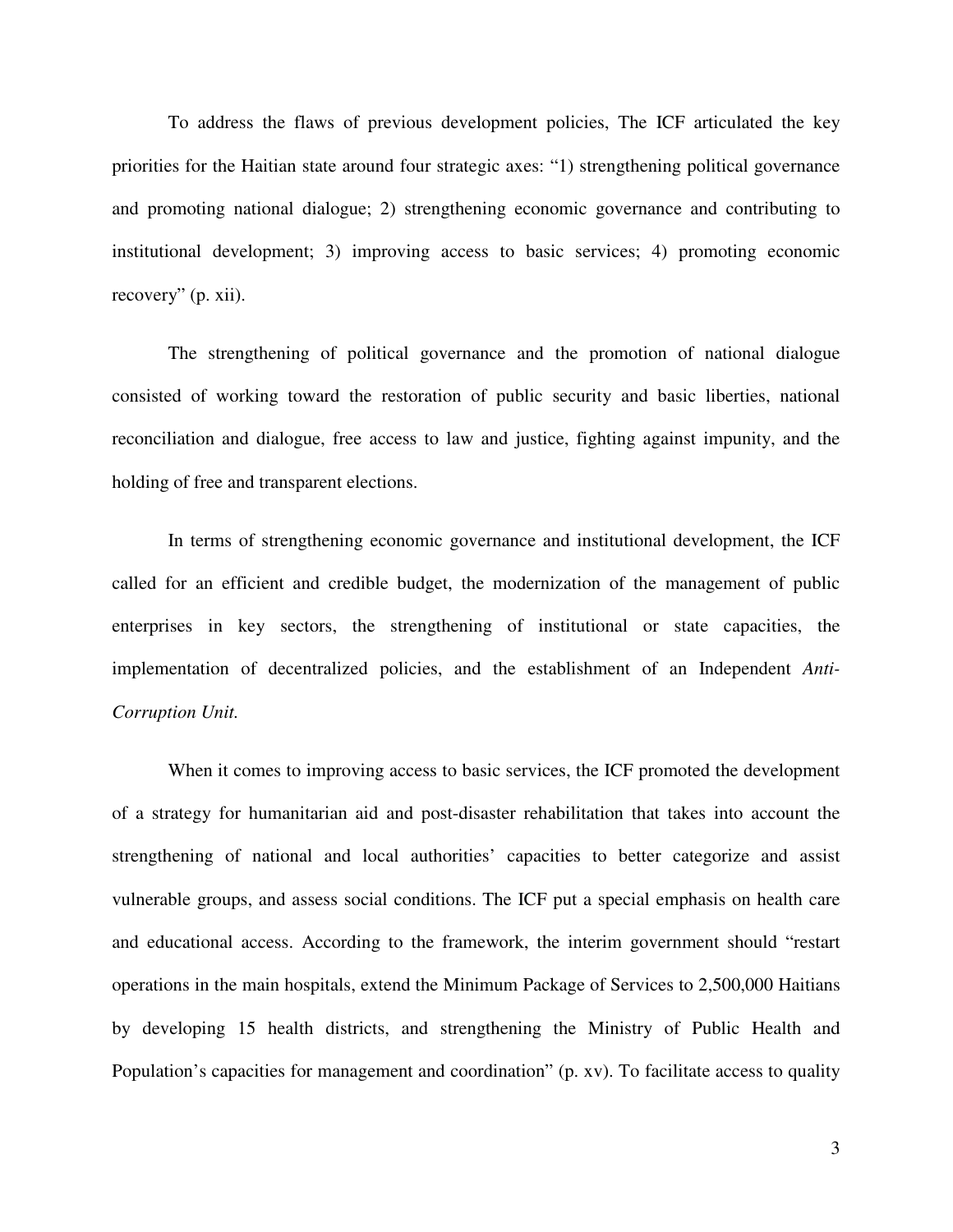To address the flaws of previous development policies, The ICF articulated the key priorities for the Haitian state around four strategic axes: "1) strengthening political governance and promoting national dialogue; 2) strengthening economic governance and contributing to institutional development; 3) improving access to basic services; 4) promoting economic recovery" (p. xii).

The strengthening of political governance and the promotion of national dialogue consisted of working toward the restoration of public security and basic liberties, national reconciliation and dialogue, free access to law and justice, fighting against impunity, and the holding of free and transparent elections.

In terms of strengthening economic governance and institutional development, the ICF called for an efficient and credible budget, the modernization of the management of public enterprises in key sectors, the strengthening of institutional or state capacities, the implementation of decentralized policies, and the establishment of an Independent *Anti-Corruption Unit.* 

When it comes to improving access to basic services, the ICF promoted the development of a strategy for humanitarian aid and post-disaster rehabilitation that takes into account the strengthening of national and local authorities' capacities to better categorize and assist vulnerable groups, and assess social conditions. The ICF put a special emphasis on health care and educational access. According to the framework, the interim government should "restart operations in the main hospitals, extend the Minimum Package of Services to 2,500,000 Haitians by developing 15 health districts, and strengthening the Ministry of Public Health and Population's capacities for management and coordination" (p. xv). To facilitate access to quality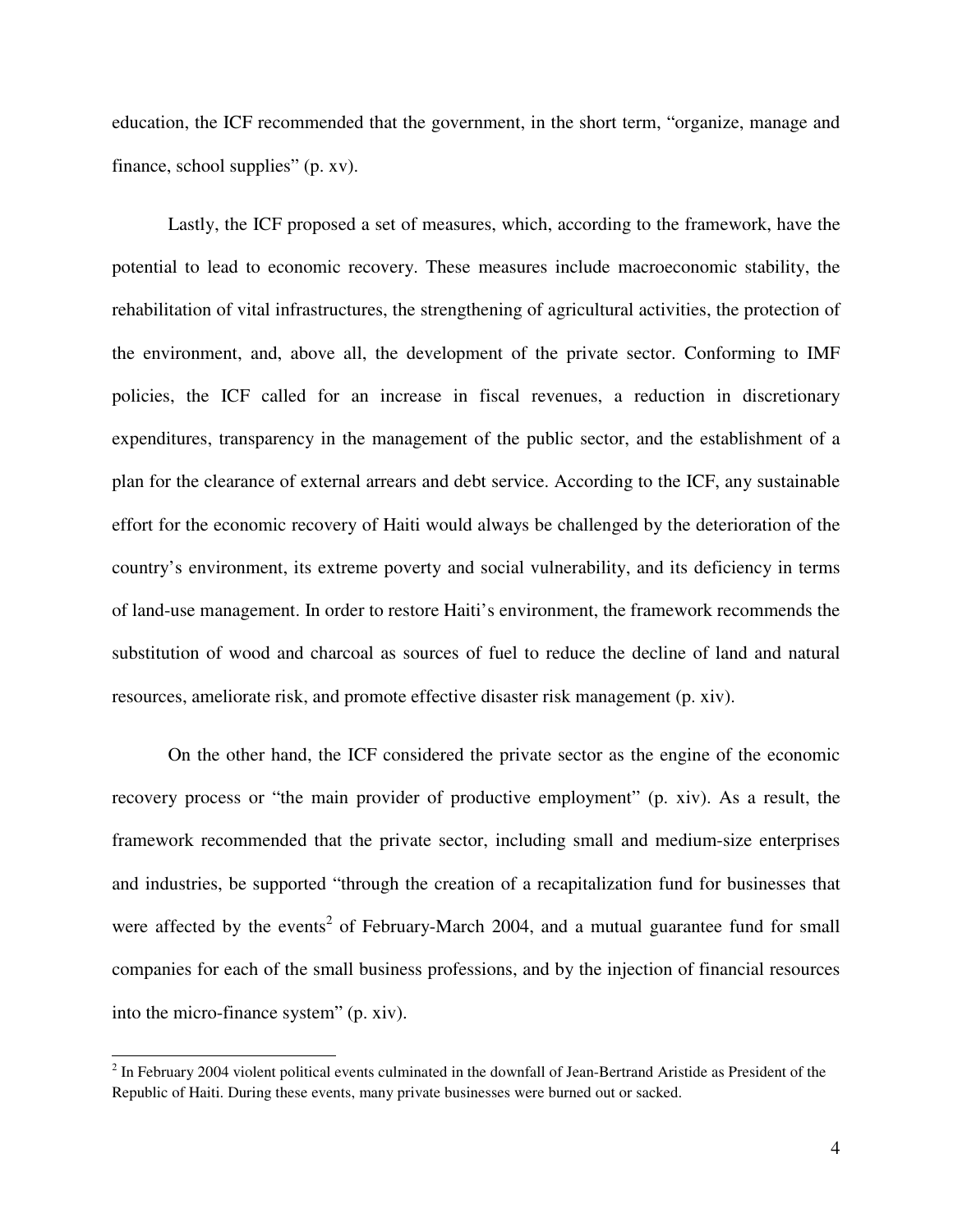education, the ICF recommended that the government, in the short term, "organize, manage and finance, school supplies" (p. xv).

Lastly, the ICF proposed a set of measures, which, according to the framework, have the potential to lead to economic recovery. These measures include macroeconomic stability, the rehabilitation of vital infrastructures, the strengthening of agricultural activities, the protection of the environment, and, above all, the development of the private sector. Conforming to IMF policies, the ICF called for an increase in fiscal revenues, a reduction in discretionary expenditures, transparency in the management of the public sector, and the establishment of a plan for the clearance of external arrears and debt service. According to the ICF, any sustainable effort for the economic recovery of Haiti would always be challenged by the deterioration of the country's environment, its extreme poverty and social vulnerability, and its deficiency in terms of land-use management. In order to restore Haiti's environment, the framework recommends the substitution of wood and charcoal as sources of fuel to reduce the decline of land and natural resources, ameliorate risk, and promote effective disaster risk management (p. xiv).

On the other hand, the ICF considered the private sector as the engine of the economic recovery process or "the main provider of productive employment" (p. xiv). As a result, the framework recommended that the private sector, including small and medium-size enterprises and industries, be supported "through the creation of a recapitalization fund for businesses that were affected by the events<sup>2</sup> of February-March 2004, and a mutual guarantee fund for small companies for each of the small business professions, and by the injection of financial resources into the micro-finance system" (p. xiv).

 $2$  In February 2004 violent political events culminated in the downfall of Jean-Bertrand Aristide as President of the Republic of Haiti. During these events, many private businesses were burned out or sacked.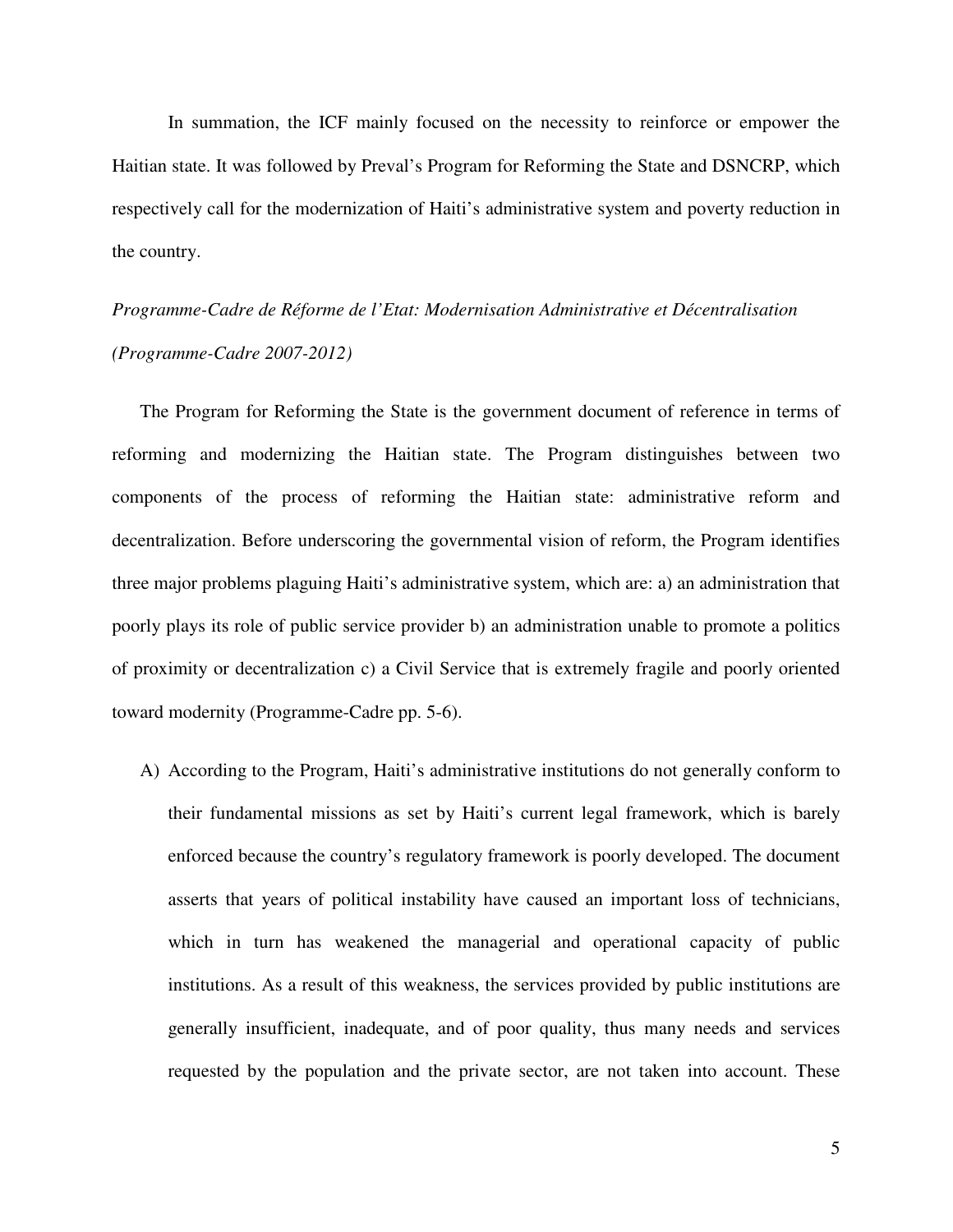In summation, the ICF mainly focused on the necessity to reinforce or empower the Haitian state. It was followed by Preval's Program for Reforming the State and DSNCRP, which respectively call for the modernization of Haiti's administrative system and poverty reduction in the country.

# *Programme-Cadre de Réforme de l'Etat: Modernisation Administrative et Décentralisation (Programme-Cadre 2007-2012)*

The Program for Reforming the State is the government document of reference in terms of reforming and modernizing the Haitian state. The Program distinguishes between two components of the process of reforming the Haitian state: administrative reform and decentralization. Before underscoring the governmental vision of reform, the Program identifies three major problems plaguing Haiti's administrative system, which are: a) an administration that poorly plays its role of public service provider b) an administration unable to promote a politics of proximity or decentralization c) a Civil Service that is extremely fragile and poorly oriented toward modernity (Programme-Cadre pp. 5-6).

A) According to the Program, Haiti's administrative institutions do not generally conform to their fundamental missions as set by Haiti's current legal framework, which is barely enforced because the country's regulatory framework is poorly developed. The document asserts that years of political instability have caused an important loss of technicians, which in turn has weakened the managerial and operational capacity of public institutions. As a result of this weakness, the services provided by public institutions are generally insufficient, inadequate, and of poor quality, thus many needs and services requested by the population and the private sector, are not taken into account. These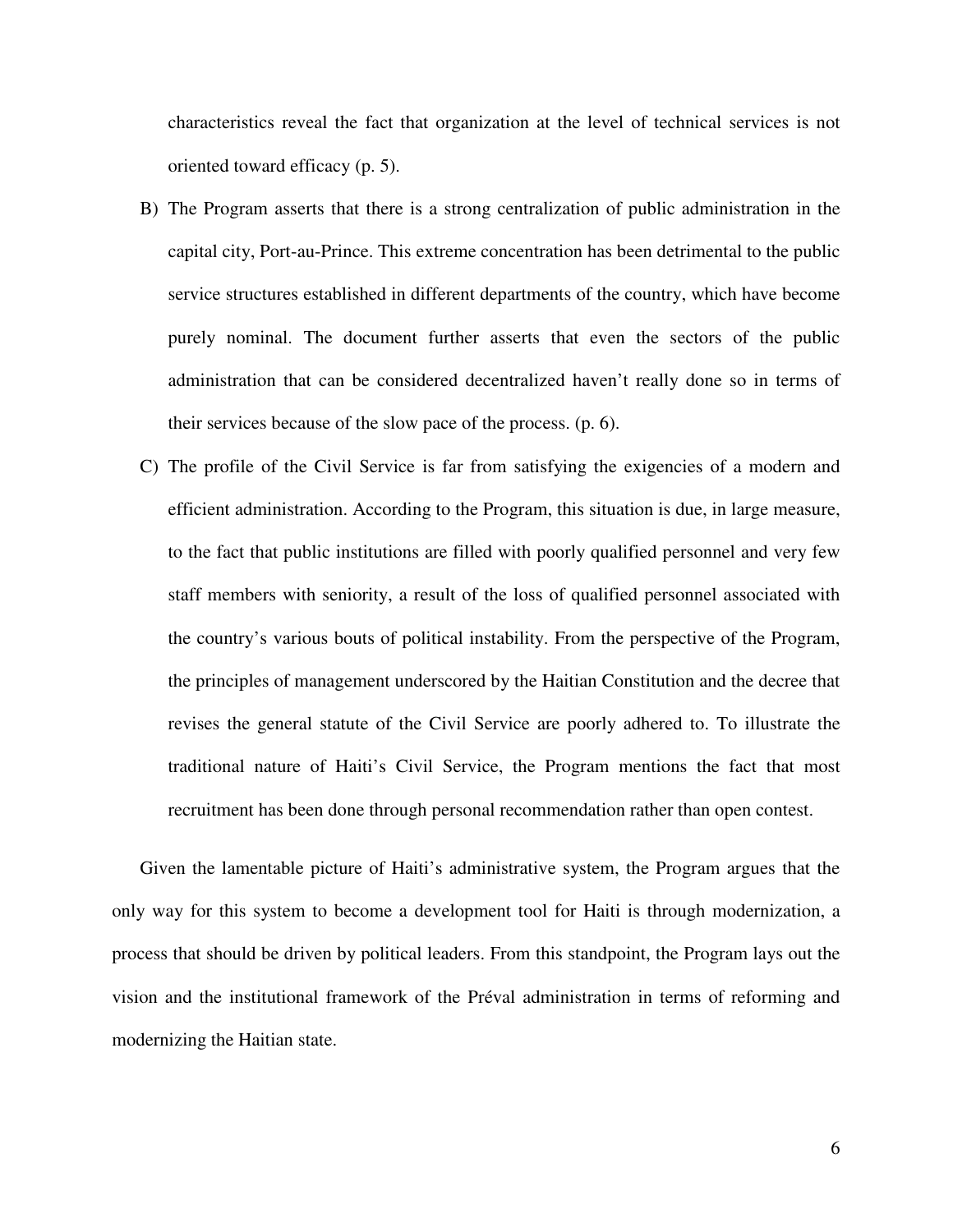characteristics reveal the fact that organization at the level of technical services is not oriented toward efficacy (p. 5).

- B) The Program asserts that there is a strong centralization of public administration in the capital city, Port-au-Prince. This extreme concentration has been detrimental to the public service structures established in different departments of the country, which have become purely nominal. The document further asserts that even the sectors of the public administration that can be considered decentralized haven't really done so in terms of their services because of the slow pace of the process. (p. 6).
- C) The profile of the Civil Service is far from satisfying the exigencies of a modern and efficient administration. According to the Program, this situation is due, in large measure, to the fact that public institutions are filled with poorly qualified personnel and very few staff members with seniority, a result of the loss of qualified personnel associated with the country's various bouts of political instability. From the perspective of the Program, the principles of management underscored by the Haitian Constitution and the decree that revises the general statute of the Civil Service are poorly adhered to. To illustrate the traditional nature of Haiti's Civil Service, the Program mentions the fact that most recruitment has been done through personal recommendation rather than open contest.

Given the lamentable picture of Haiti's administrative system, the Program argues that the only way for this system to become a development tool for Haiti is through modernization, a process that should be driven by political leaders. From this standpoint, the Program lays out the vision and the institutional framework of the Préval administration in terms of reforming and modernizing the Haitian state.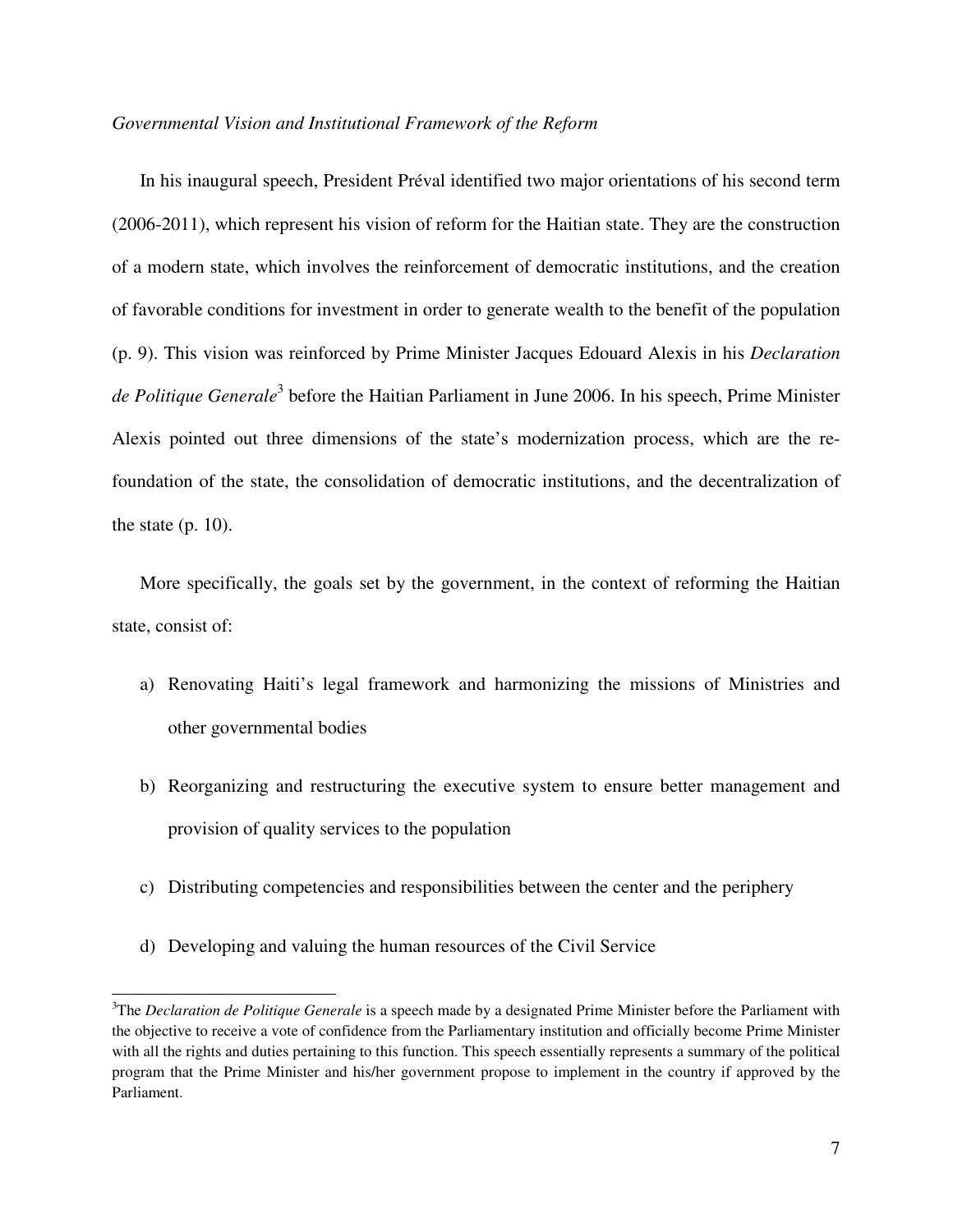### *Governmental Vision and Institutional Framework of the Reform*

In his inaugural speech, President Préval identified two major orientations of his second term (2006-2011), which represent his vision of reform for the Haitian state. They are the construction of a modern state, which involves the reinforcement of democratic institutions, and the creation of favorable conditions for investment in order to generate wealth to the benefit of the population (p. 9). This vision was reinforced by Prime Minister Jacques Edouard Alexis in his *Declaration*  de Politique Generale<sup>3</sup> before the Haitian Parliament in June 2006. In his speech, Prime Minister Alexis pointed out three dimensions of the state's modernization process, which are the refoundation of the state, the consolidation of democratic institutions, and the decentralization of the state  $(p. 10)$ .

More specifically, the goals set by the government, in the context of reforming the Haitian state, consist of:

- a) Renovating Haiti's legal framework and harmonizing the missions of Ministries and other governmental bodies
- b) Reorganizing and restructuring the executive system to ensure better management and provision of quality services to the population
- c) Distributing competencies and responsibilities between the center and the periphery
- d) Developing and valuing the human resources of the Civil Service

<sup>3</sup>The *Declaration de Politique Generale* is a speech made by a designated Prime Minister before the Parliament with the objective to receive a vote of confidence from the Parliamentary institution and officially become Prime Minister with all the rights and duties pertaining to this function. This speech essentially represents a summary of the political program that the Prime Minister and his/her government propose to implement in the country if approved by the Parliament.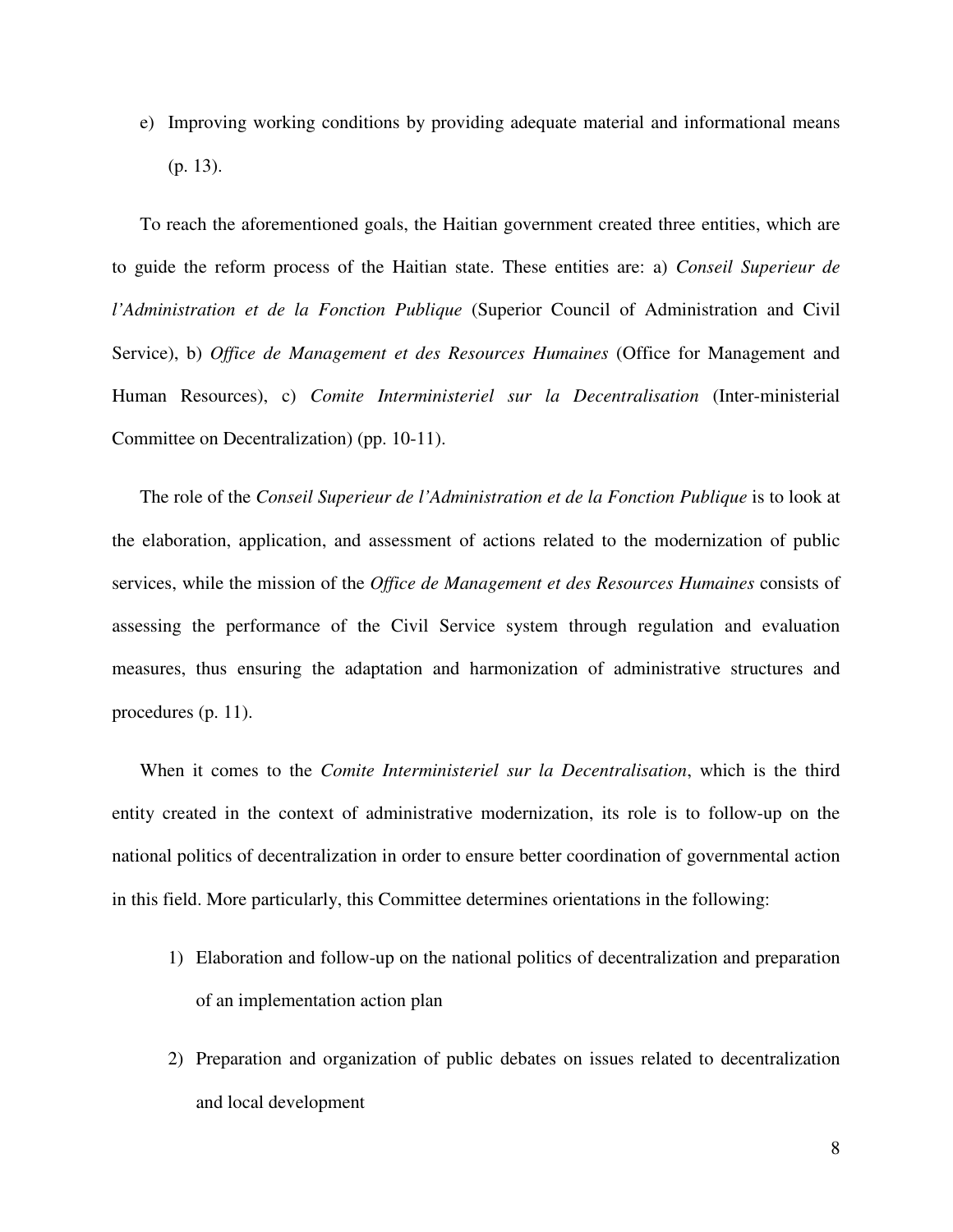e) Improving working conditions by providing adequate material and informational means (p. 13).

To reach the aforementioned goals, the Haitian government created three entities, which are to guide the reform process of the Haitian state. These entities are: a) *Conseil Superieur de l'Administration et de la Fonction Publique* (Superior Council of Administration and Civil Service), b) *Office de Management et des Resources Humaines* (Office for Management and Human Resources), c) *Comite Interministeriel sur la Decentralisation* (Inter-ministerial Committee on Decentralization) (pp. 10-11).

The role of the *Conseil Superieur de l'Administration et de la Fonction Publique* is to look at the elaboration, application, and assessment of actions related to the modernization of public services, while the mission of the *Office de Management et des Resources Humaines* consists of assessing the performance of the Civil Service system through regulation and evaluation measures, thus ensuring the adaptation and harmonization of administrative structures and procedures (p. 11).

When it comes to the *Comite Interministeriel sur la Decentralisation*, which is the third entity created in the context of administrative modernization, its role is to follow-up on the national politics of decentralization in order to ensure better coordination of governmental action in this field. More particularly, this Committee determines orientations in the following:

- 1) Elaboration and follow-up on the national politics of decentralization and preparation of an implementation action plan
- 2) Preparation and organization of public debates on issues related to decentralization and local development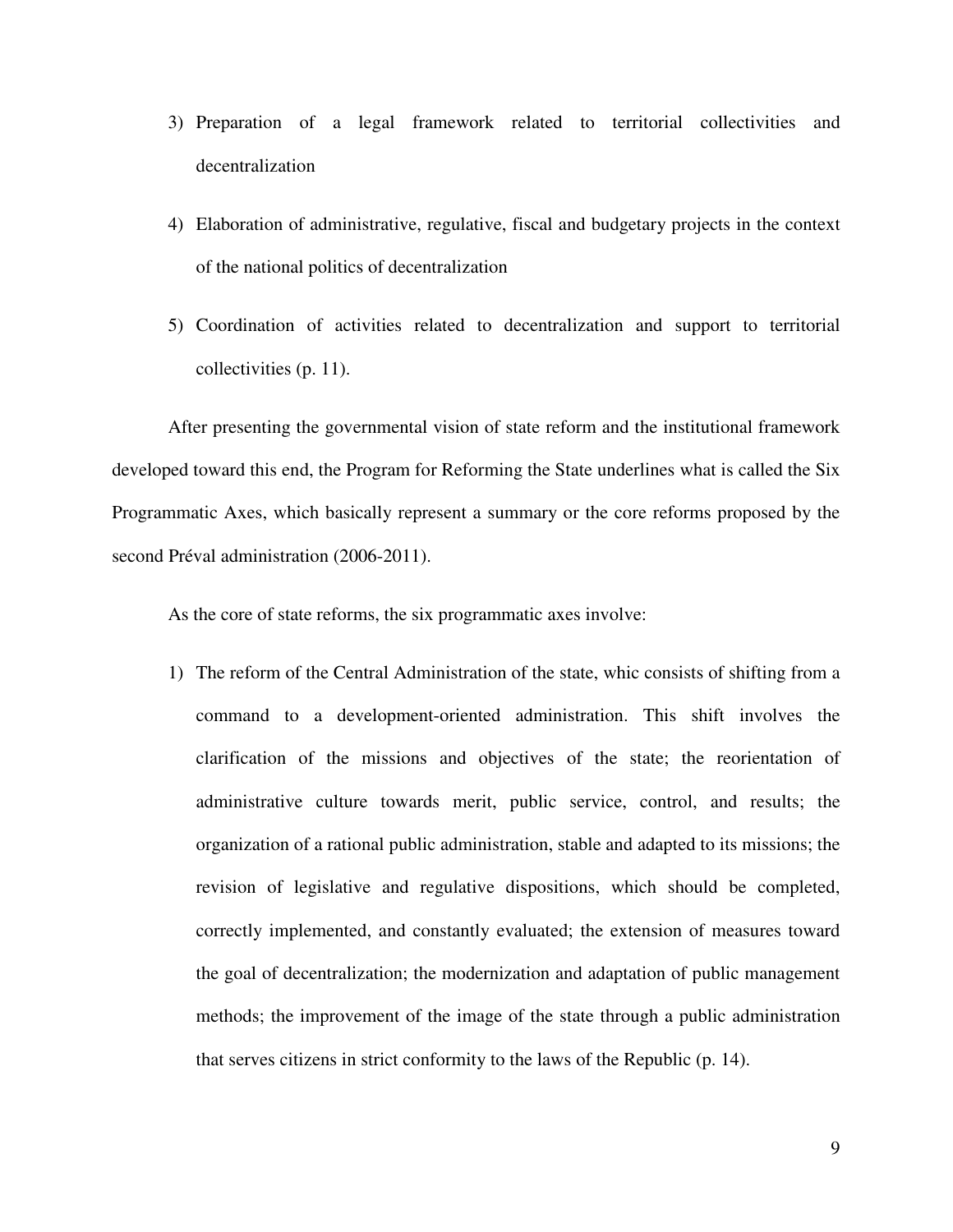- 3) Preparation of a legal framework related to territorial collectivities and decentralization
- 4) Elaboration of administrative, regulative, fiscal and budgetary projects in the context of the national politics of decentralization
- 5) Coordination of activities related to decentralization and support to territorial collectivities (p. 11).

After presenting the governmental vision of state reform and the institutional framework developed toward this end, the Program for Reforming the State underlines what is called the Six Programmatic Axes, which basically represent a summary or the core reforms proposed by the second Préval administration (2006-2011).

As the core of state reforms, the six programmatic axes involve:

1) The reform of the Central Administration of the state, whic consists of shifting from a command to a development-oriented administration. This shift involves the clarification of the missions and objectives of the state; the reorientation of administrative culture towards merit, public service, control, and results; the organization of a rational public administration, stable and adapted to its missions; the revision of legislative and regulative dispositions, which should be completed, correctly implemented, and constantly evaluated; the extension of measures toward the goal of decentralization; the modernization and adaptation of public management methods; the improvement of the image of the state through a public administration that serves citizens in strict conformity to the laws of the Republic (p. 14).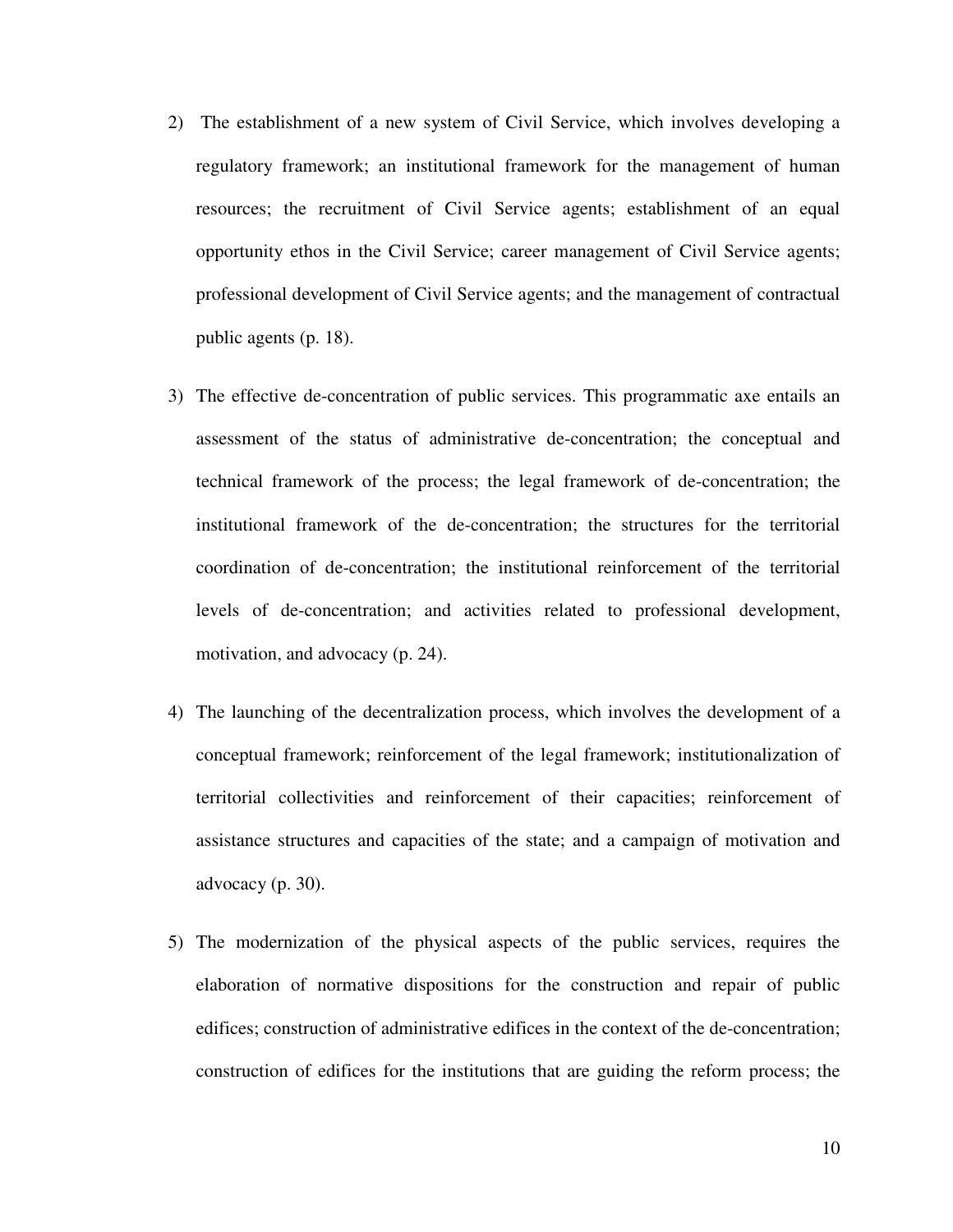- 2) The establishment of a new system of Civil Service, which involves developing a regulatory framework; an institutional framework for the management of human resources; the recruitment of Civil Service agents; establishment of an equal opportunity ethos in the Civil Service; career management of Civil Service agents; professional development of Civil Service agents; and the management of contractual public agents (p. 18).
- 3) The effective de-concentration of public services. This programmatic axe entails an assessment of the status of administrative de-concentration; the conceptual and technical framework of the process; the legal framework of de-concentration; the institutional framework of the de-concentration; the structures for the territorial coordination of de-concentration; the institutional reinforcement of the territorial levels of de-concentration; and activities related to professional development, motivation, and advocacy (p. 24).
- 4) The launching of the decentralization process, which involves the development of a conceptual framework; reinforcement of the legal framework; institutionalization of territorial collectivities and reinforcement of their capacities; reinforcement of assistance structures and capacities of the state; and a campaign of motivation and advocacy (p. 30).
- 5) The modernization of the physical aspects of the public services, requires the elaboration of normative dispositions for the construction and repair of public edifices; construction of administrative edifices in the context of the de-concentration; construction of edifices for the institutions that are guiding the reform process; the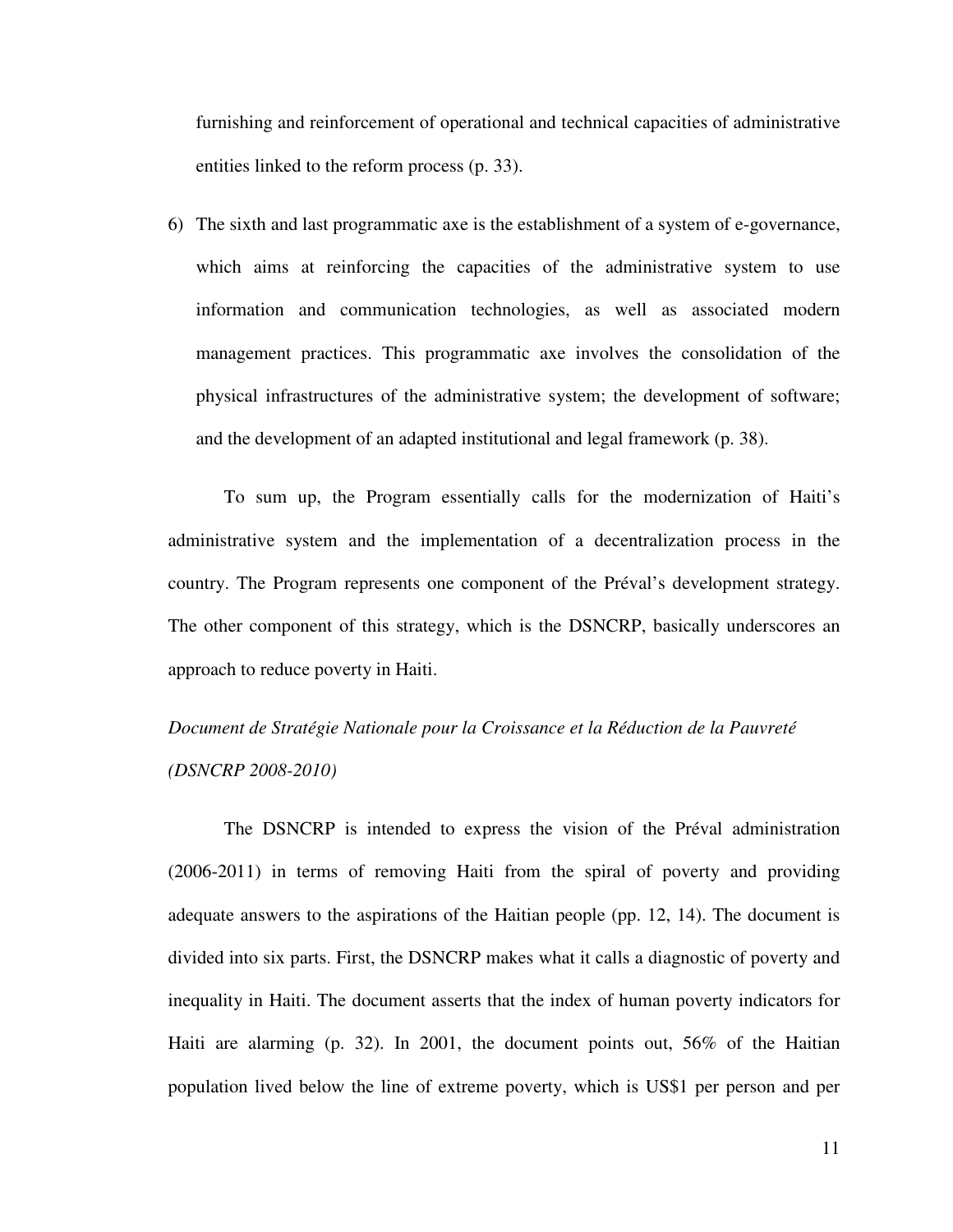furnishing and reinforcement of operational and technical capacities of administrative entities linked to the reform process (p. 33).

6) The sixth and last programmatic axe is the establishment of a system of e-governance, which aims at reinforcing the capacities of the administrative system to use information and communication technologies, as well as associated modern management practices. This programmatic axe involves the consolidation of the physical infrastructures of the administrative system; the development of software; and the development of an adapted institutional and legal framework (p. 38).

To sum up, the Program essentially calls for the modernization of Haiti's administrative system and the implementation of a decentralization process in the country. The Program represents one component of the Préval's development strategy. The other component of this strategy, which is the DSNCRP, basically underscores an approach to reduce poverty in Haiti.

# *Document de Stratégie Nationale pour la Croissance et la Réduction de la Pauvreté (DSNCRP 2008-2010)*

The DSNCRP is intended to express the vision of the Préval administration (2006-2011) in terms of removing Haiti from the spiral of poverty and providing adequate answers to the aspirations of the Haitian people (pp. 12, 14). The document is divided into six parts. First, the DSNCRP makes what it calls a diagnostic of poverty and inequality in Haiti. The document asserts that the index of human poverty indicators for Haiti are alarming (p. 32). In 2001, the document points out, 56% of the Haitian population lived below the line of extreme poverty, which is US\$1 per person and per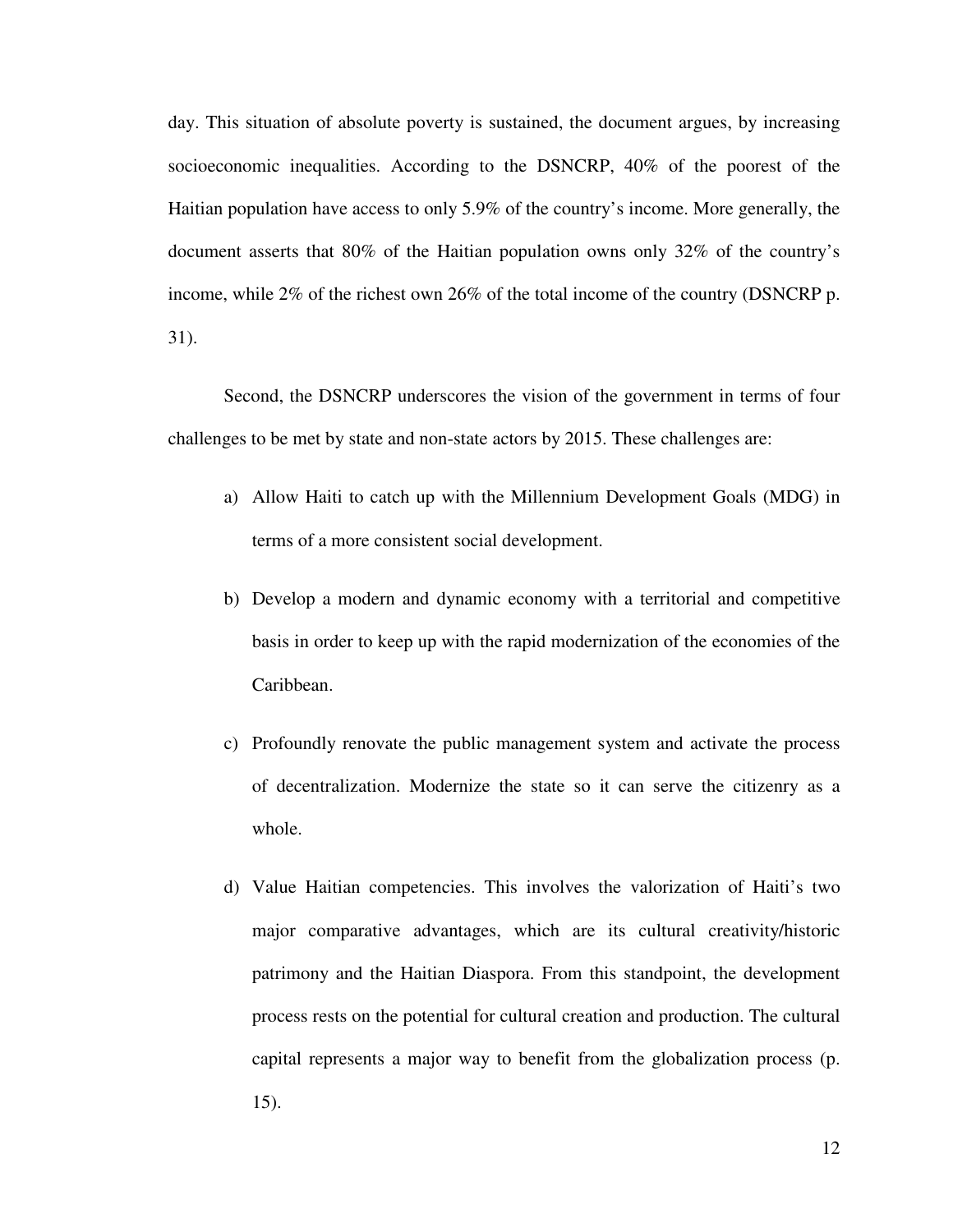day. This situation of absolute poverty is sustained, the document argues, by increasing socioeconomic inequalities. According to the DSNCRP, 40% of the poorest of the Haitian population have access to only 5.9% of the country's income. More generally, the document asserts that 80% of the Haitian population owns only 32% of the country's income, while 2% of the richest own 26% of the total income of the country (DSNCRP p. 31).

Second, the DSNCRP underscores the vision of the government in terms of four challenges to be met by state and non-state actors by 2015. These challenges are:

- a) Allow Haiti to catch up with the Millennium Development Goals (MDG) in terms of a more consistent social development.
- b) Develop a modern and dynamic economy with a territorial and competitive basis in order to keep up with the rapid modernization of the economies of the Caribbean.
- c) Profoundly renovate the public management system and activate the process of decentralization. Modernize the state so it can serve the citizenry as a whole.
- d) Value Haitian competencies. This involves the valorization of Haiti's two major comparative advantages, which are its cultural creativity/historic patrimony and the Haitian Diaspora. From this standpoint, the development process rests on the potential for cultural creation and production. The cultural capital represents a major way to benefit from the globalization process (p. 15).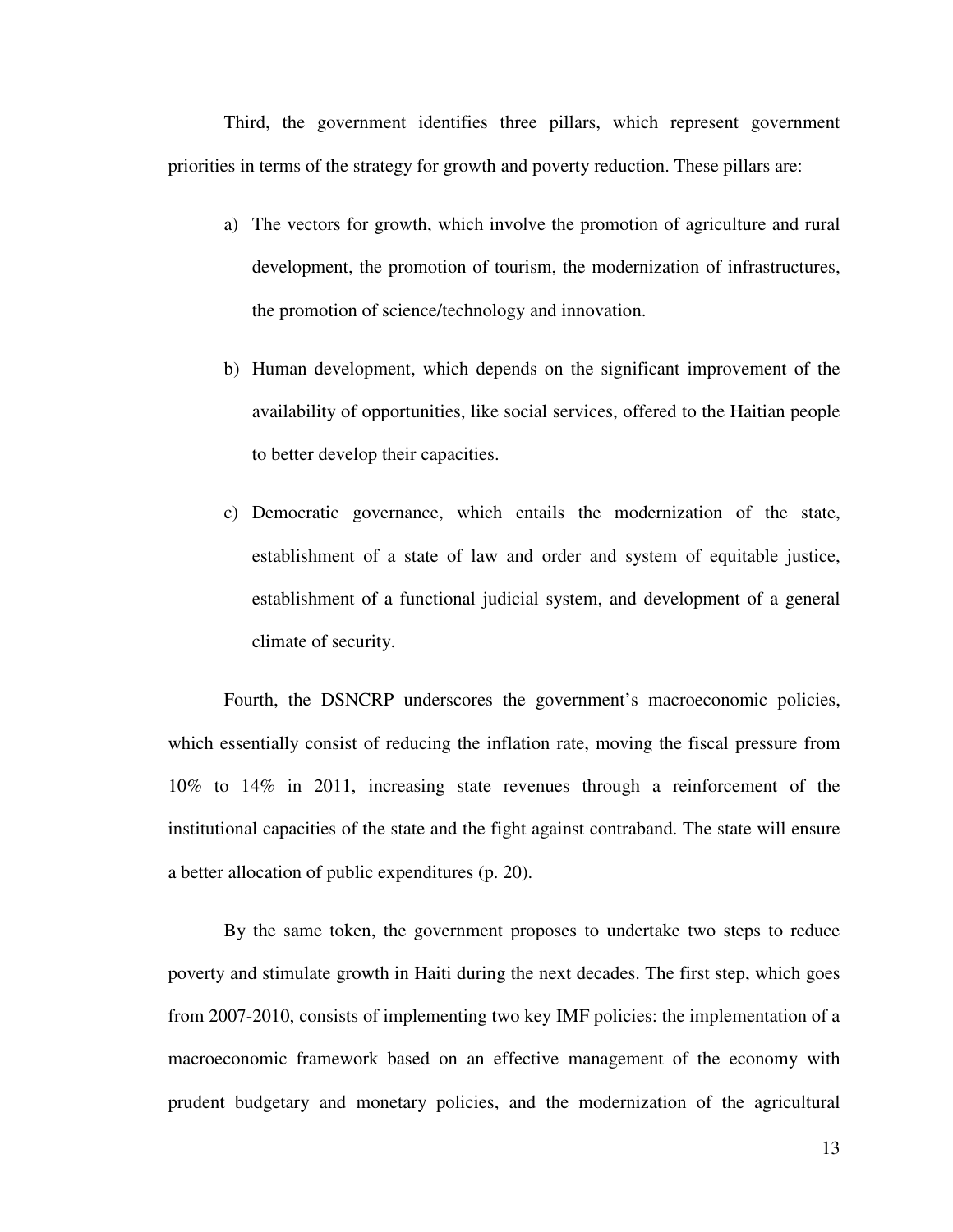Third, the government identifies three pillars, which represent government priorities in terms of the strategy for growth and poverty reduction. These pillars are:

- a) The vectors for growth, which involve the promotion of agriculture and rural development, the promotion of tourism, the modernization of infrastructures, the promotion of science/technology and innovation.
- b) Human development, which depends on the significant improvement of the availability of opportunities, like social services, offered to the Haitian people to better develop their capacities.
- c) Democratic governance, which entails the modernization of the state, establishment of a state of law and order and system of equitable justice, establishment of a functional judicial system, and development of a general climate of security.

Fourth, the DSNCRP underscores the government's macroeconomic policies, which essentially consist of reducing the inflation rate, moving the fiscal pressure from 10% to 14% in 2011, increasing state revenues through a reinforcement of the institutional capacities of the state and the fight against contraband. The state will ensure a better allocation of public expenditures (p. 20).

By the same token, the government proposes to undertake two steps to reduce poverty and stimulate growth in Haiti during the next decades. The first step, which goes from 2007-2010, consists of implementing two key IMF policies: the implementation of a macroeconomic framework based on an effective management of the economy with prudent budgetary and monetary policies, and the modernization of the agricultural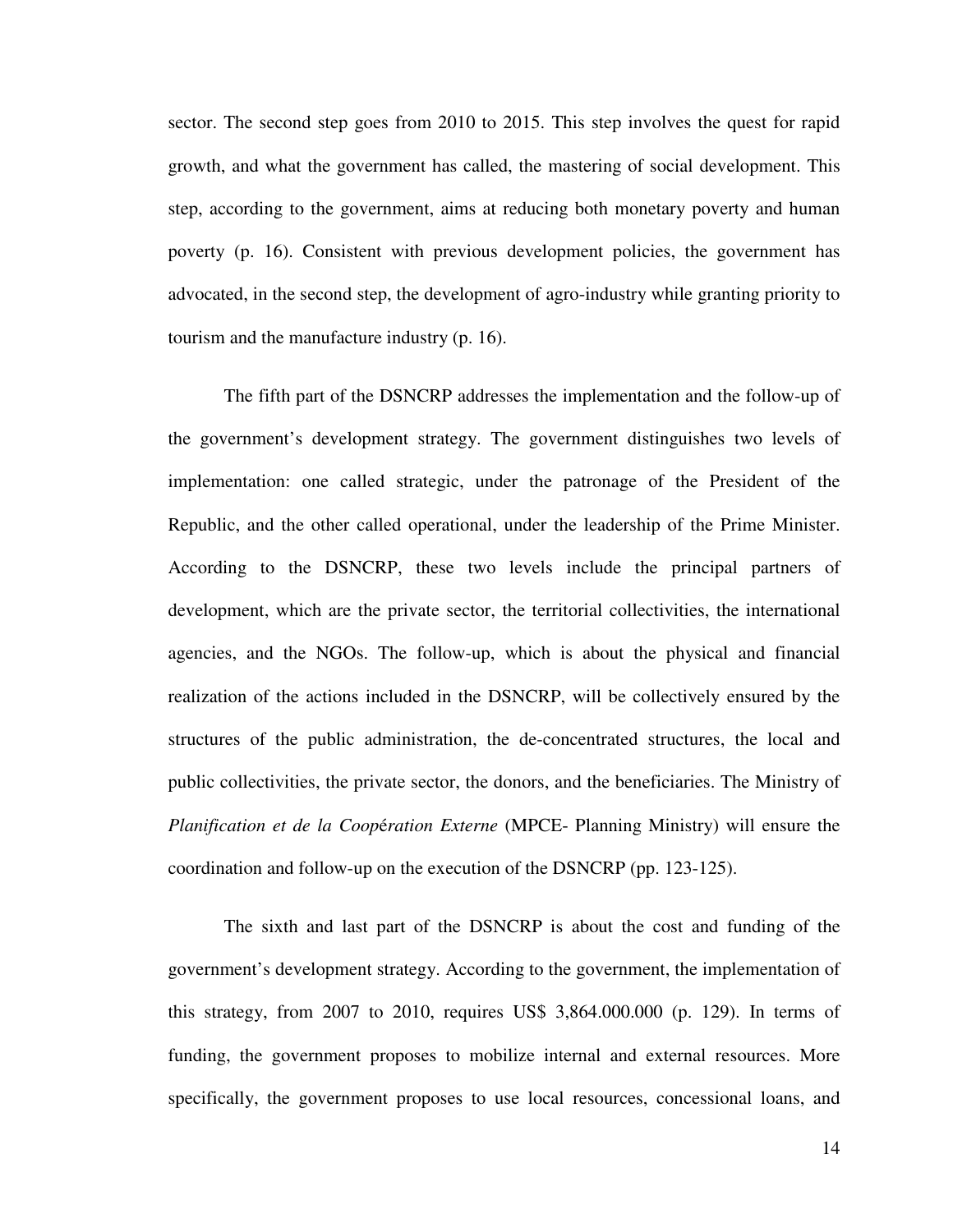sector. The second step goes from 2010 to 2015. This step involves the quest for rapid growth, and what the government has called, the mastering of social development. This step, according to the government, aims at reducing both monetary poverty and human poverty (p. 16). Consistent with previous development policies, the government has advocated, in the second step, the development of agro-industry while granting priority to tourism and the manufacture industry (p. 16).

The fifth part of the DSNCRP addresses the implementation and the follow-up of the government's development strategy. The government distinguishes two levels of implementation: one called strategic, under the patronage of the President of the Republic, and the other called operational, under the leadership of the Prime Minister. According to the DSNCRP, these two levels include the principal partners of development, which are the private sector, the territorial collectivities, the international agencies, and the NGOs. The follow-up, which is about the physical and financial realization of the actions included in the DSNCRP, will be collectively ensured by the structures of the public administration, the de-concentrated structures, the local and public collectivities, the private sector, the donors, and the beneficiaries. The Ministry of *Planification et de la Coop*é*ration Externe* (MPCE- Planning Ministry) will ensure the coordination and follow-up on the execution of the DSNCRP (pp. 123-125).

The sixth and last part of the DSNCRP is about the cost and funding of the government's development strategy. According to the government, the implementation of this strategy, from 2007 to 2010, requires US\$ 3,864.000.000 (p. 129). In terms of funding, the government proposes to mobilize internal and external resources. More specifically, the government proposes to use local resources, concessional loans, and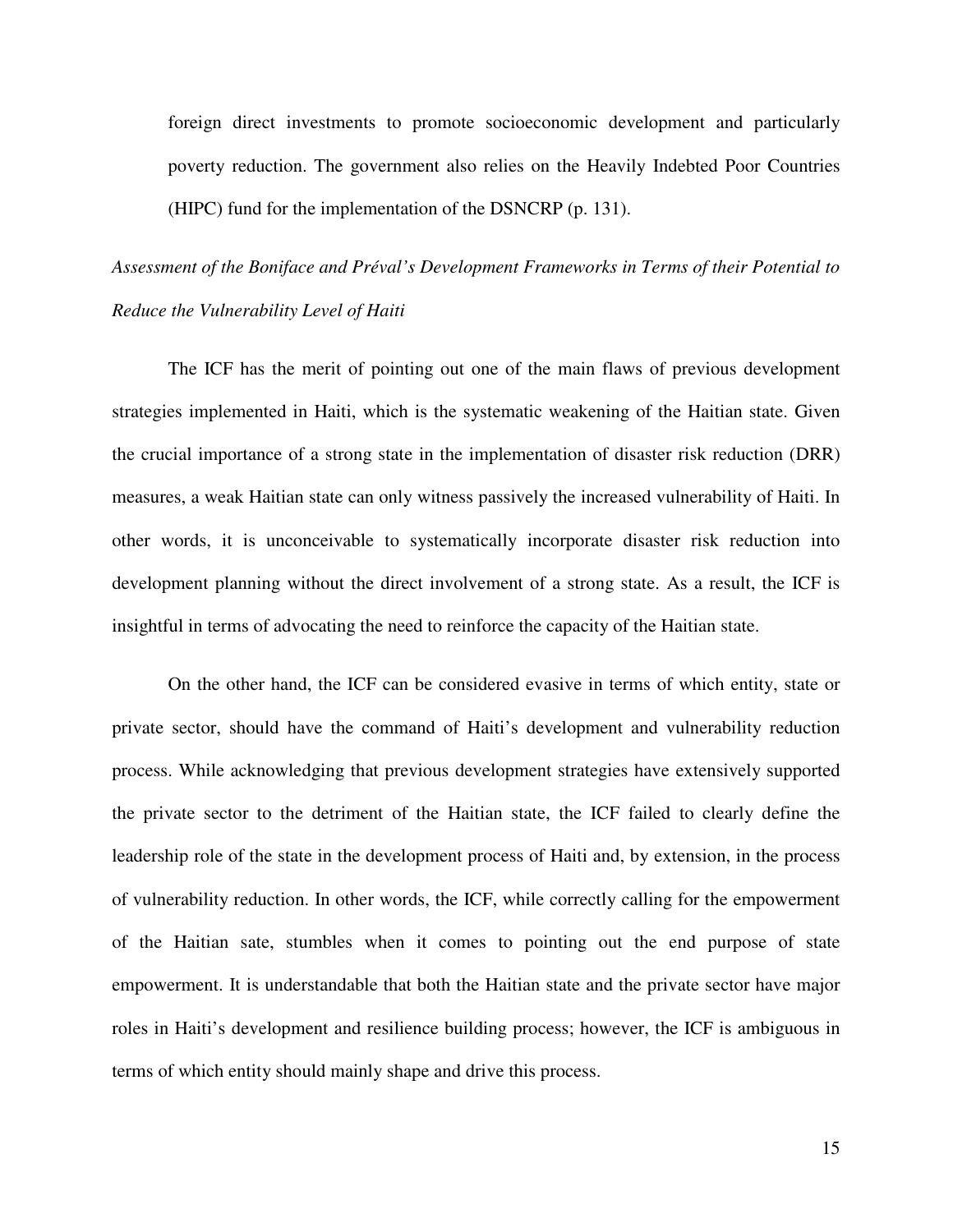foreign direct investments to promote socioeconomic development and particularly poverty reduction. The government also relies on the Heavily Indebted Poor Countries (HIPC) fund for the implementation of the DSNCRP (p. 131).

*Assessment of the Boniface and Préval's Development Frameworks in Terms of their Potential to Reduce the Vulnerability Level of Haiti* 

The ICF has the merit of pointing out one of the main flaws of previous development strategies implemented in Haiti, which is the systematic weakening of the Haitian state. Given the crucial importance of a strong state in the implementation of disaster risk reduction (DRR) measures, a weak Haitian state can only witness passively the increased vulnerability of Haiti. In other words, it is unconceivable to systematically incorporate disaster risk reduction into development planning without the direct involvement of a strong state. As a result, the ICF is insightful in terms of advocating the need to reinforce the capacity of the Haitian state.

On the other hand, the ICF can be considered evasive in terms of which entity, state or private sector, should have the command of Haiti's development and vulnerability reduction process. While acknowledging that previous development strategies have extensively supported the private sector to the detriment of the Haitian state, the ICF failed to clearly define the leadership role of the state in the development process of Haiti and, by extension, in the process of vulnerability reduction. In other words, the ICF, while correctly calling for the empowerment of the Haitian sate, stumbles when it comes to pointing out the end purpose of state empowerment. It is understandable that both the Haitian state and the private sector have major roles in Haiti's development and resilience building process; however, the ICF is ambiguous in terms of which entity should mainly shape and drive this process.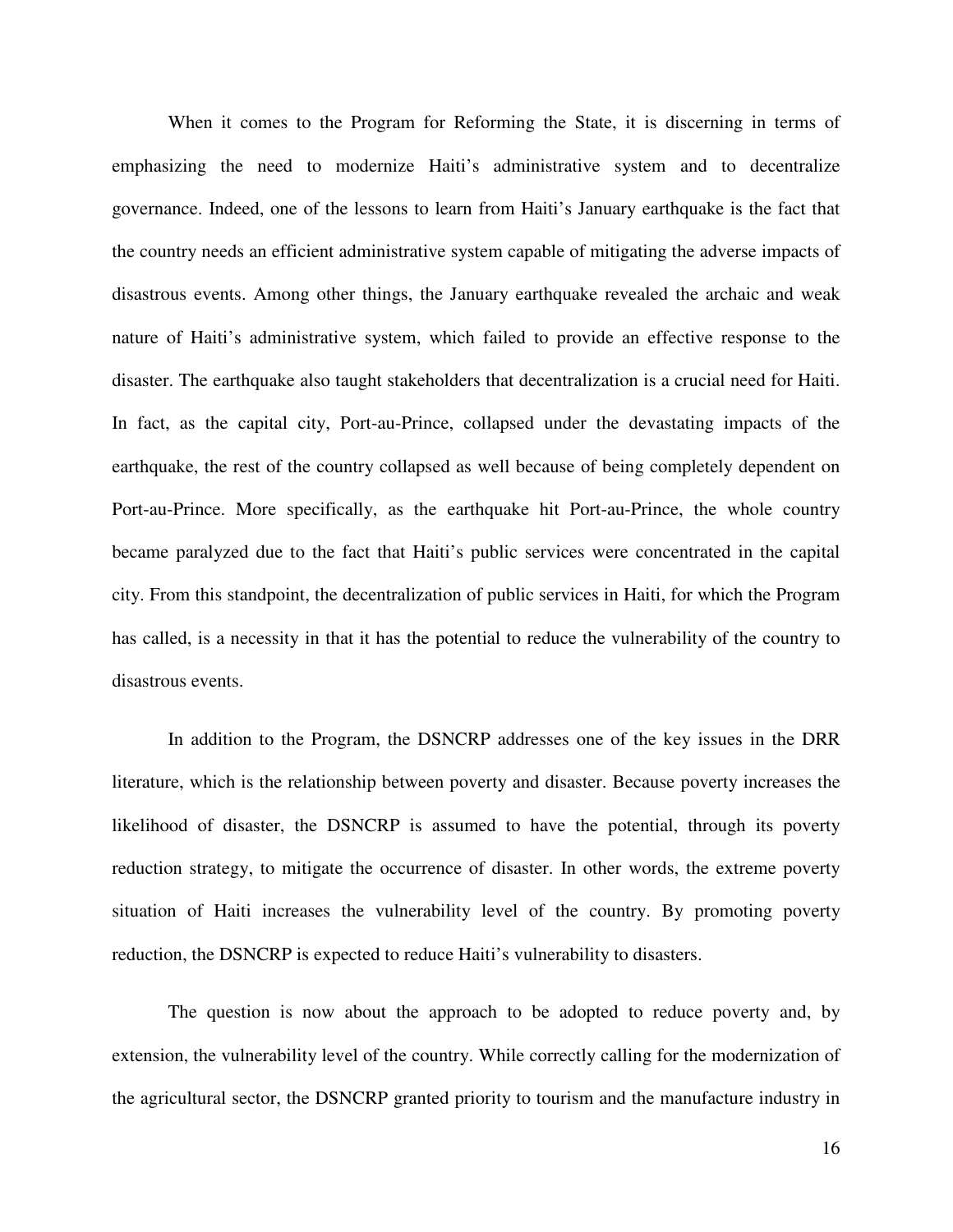When it comes to the Program for Reforming the State, it is discerning in terms of emphasizing the need to modernize Haiti's administrative system and to decentralize governance. Indeed, one of the lessons to learn from Haiti's January earthquake is the fact that the country needs an efficient administrative system capable of mitigating the adverse impacts of disastrous events. Among other things, the January earthquake revealed the archaic and weak nature of Haiti's administrative system, which failed to provide an effective response to the disaster. The earthquake also taught stakeholders that decentralization is a crucial need for Haiti. In fact, as the capital city, Port-au-Prince, collapsed under the devastating impacts of the earthquake, the rest of the country collapsed as well because of being completely dependent on Port-au-Prince. More specifically, as the earthquake hit Port-au-Prince, the whole country became paralyzed due to the fact that Haiti's public services were concentrated in the capital city. From this standpoint, the decentralization of public services in Haiti, for which the Program has called, is a necessity in that it has the potential to reduce the vulnerability of the country to disastrous events.

In addition to the Program, the DSNCRP addresses one of the key issues in the DRR literature, which is the relationship between poverty and disaster. Because poverty increases the likelihood of disaster, the DSNCRP is assumed to have the potential, through its poverty reduction strategy, to mitigate the occurrence of disaster. In other words, the extreme poverty situation of Haiti increases the vulnerability level of the country. By promoting poverty reduction, the DSNCRP is expected to reduce Haiti's vulnerability to disasters.

The question is now about the approach to be adopted to reduce poverty and, by extension, the vulnerability level of the country. While correctly calling for the modernization of the agricultural sector, the DSNCRP granted priority to tourism and the manufacture industry in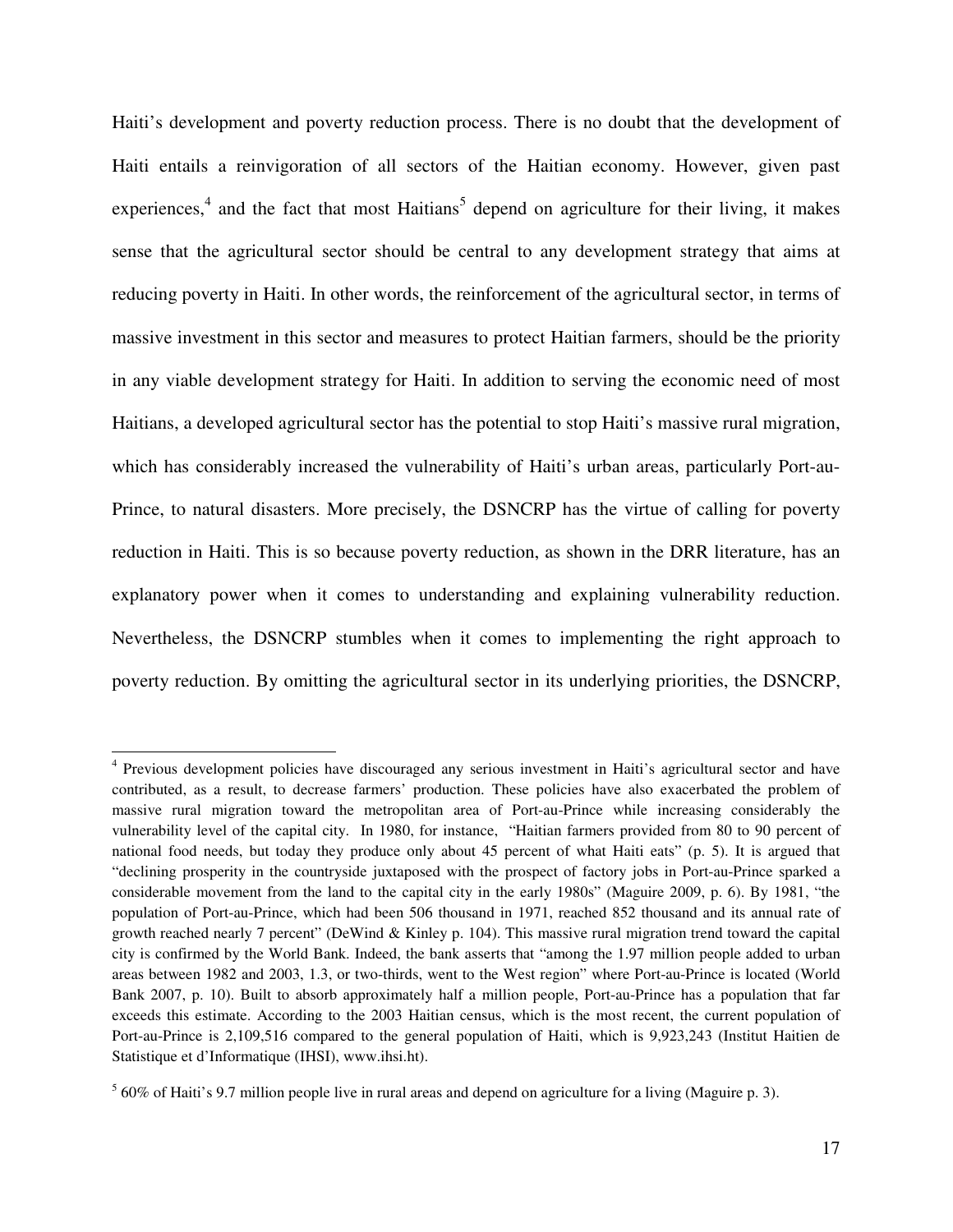Haiti's development and poverty reduction process. There is no doubt that the development of Haiti entails a reinvigoration of all sectors of the Haitian economy. However, given past experiences,<sup>4</sup> and the fact that most Haitians<sup>5</sup> depend on agriculture for their living, it makes sense that the agricultural sector should be central to any development strategy that aims at reducing poverty in Haiti. In other words, the reinforcement of the agricultural sector, in terms of massive investment in this sector and measures to protect Haitian farmers, should be the priority in any viable development strategy for Haiti. In addition to serving the economic need of most Haitians, a developed agricultural sector has the potential to stop Haiti's massive rural migration, which has considerably increased the vulnerability of Haiti's urban areas, particularly Port-au-Prince, to natural disasters. More precisely, the DSNCRP has the virtue of calling for poverty reduction in Haiti. This is so because poverty reduction, as shown in the DRR literature, has an explanatory power when it comes to understanding and explaining vulnerability reduction. Nevertheless, the DSNCRP stumbles when it comes to implementing the right approach to poverty reduction. By omitting the agricultural sector in its underlying priorities, the DSNCRP,

<sup>&</sup>lt;sup>4</sup> Previous development policies have discouraged any serious investment in Haiti's agricultural sector and have contributed, as a result, to decrease farmers' production. These policies have also exacerbated the problem of massive rural migration toward the metropolitan area of Port-au-Prince while increasing considerably the vulnerability level of the capital city. In 1980, for instance, "Haitian farmers provided from 80 to 90 percent of national food needs, but today they produce only about 45 percent of what Haiti eats" (p. 5). It is argued that "declining prosperity in the countryside juxtaposed with the prospect of factory jobs in Port-au-Prince sparked a considerable movement from the land to the capital city in the early 1980s" (Maguire 2009, p. 6). By 1981, "the population of Port-au-Prince, which had been 506 thousand in 1971, reached 852 thousand and its annual rate of growth reached nearly 7 percent" (DeWind & Kinley p. 104). This massive rural migration trend toward the capital city is confirmed by the World Bank. Indeed, the bank asserts that "among the 1.97 million people added to urban areas between 1982 and 2003, 1.3, or two-thirds, went to the West region" where Port-au-Prince is located (World Bank 2007, p. 10). Built to absorb approximately half a million people, Port-au-Prince has a population that far exceeds this estimate. According to the 2003 Haitian census, which is the most recent, the current population of Port-au-Prince is 2,109,516 compared to the general population of Haiti, which is 9,923,243 (Institut Haitien de Statistique et d'Informatique (IHSI), www.ihsi.ht).

 $<sup>5</sup>$  60% of Haiti's 9.7 million people live in rural areas and depend on agriculture for a living (Maguire p. 3).</sup>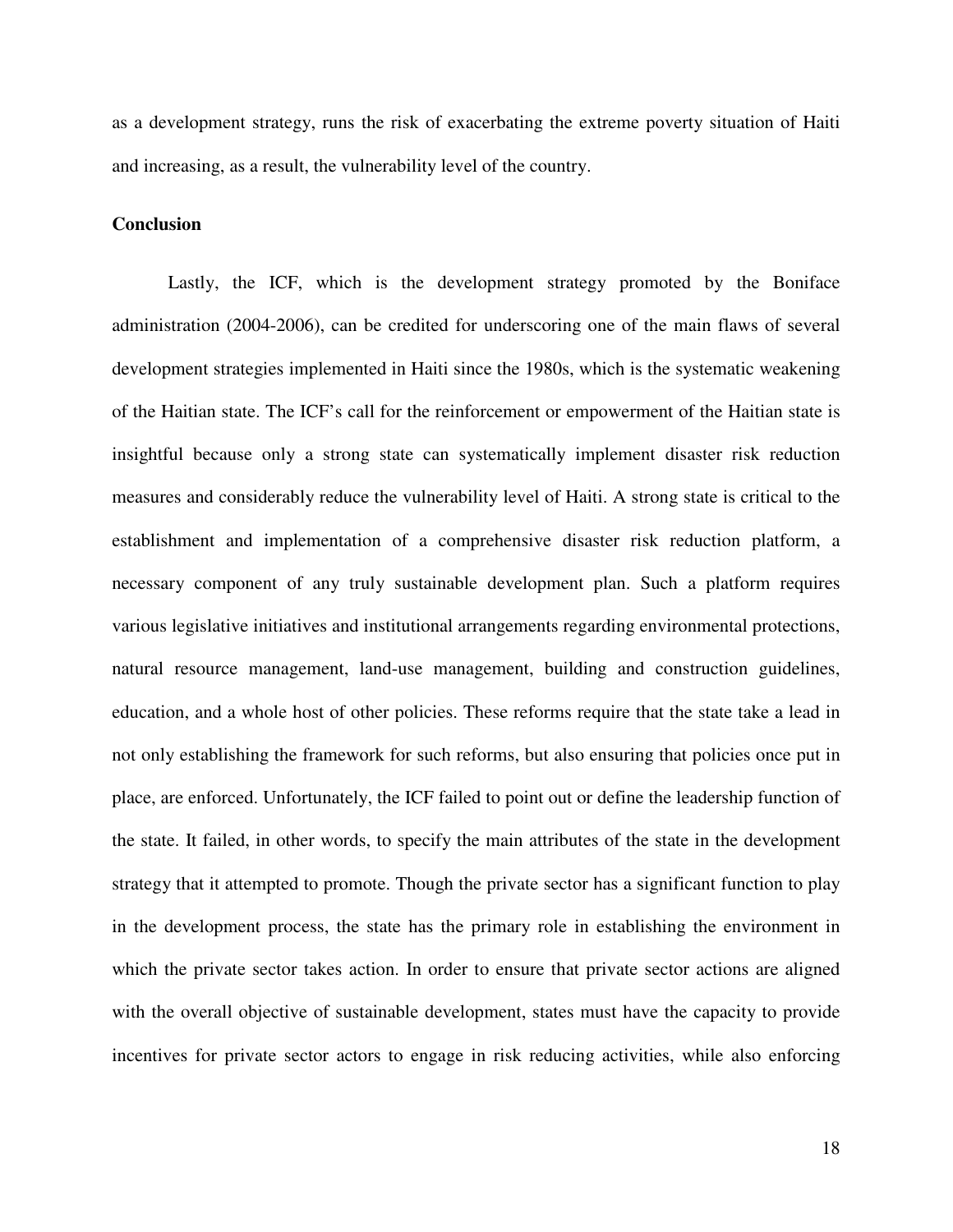as a development strategy, runs the risk of exacerbating the extreme poverty situation of Haiti and increasing, as a result, the vulnerability level of the country.

### **Conclusion**

Lastly, the ICF, which is the development strategy promoted by the Boniface administration (2004-2006), can be credited for underscoring one of the main flaws of several development strategies implemented in Haiti since the 1980s, which is the systematic weakening of the Haitian state. The ICF's call for the reinforcement or empowerment of the Haitian state is insightful because only a strong state can systematically implement disaster risk reduction measures and considerably reduce the vulnerability level of Haiti. A strong state is critical to the establishment and implementation of a comprehensive disaster risk reduction platform, a necessary component of any truly sustainable development plan. Such a platform requires various legislative initiatives and institutional arrangements regarding environmental protections, natural resource management, land-use management, building and construction guidelines, education, and a whole host of other policies. These reforms require that the state take a lead in not only establishing the framework for such reforms, but also ensuring that policies once put in place, are enforced. Unfortunately, the ICF failed to point out or define the leadership function of the state. It failed, in other words, to specify the main attributes of the state in the development strategy that it attempted to promote. Though the private sector has a significant function to play in the development process, the state has the primary role in establishing the environment in which the private sector takes action. In order to ensure that private sector actions are aligned with the overall objective of sustainable development, states must have the capacity to provide incentives for private sector actors to engage in risk reducing activities, while also enforcing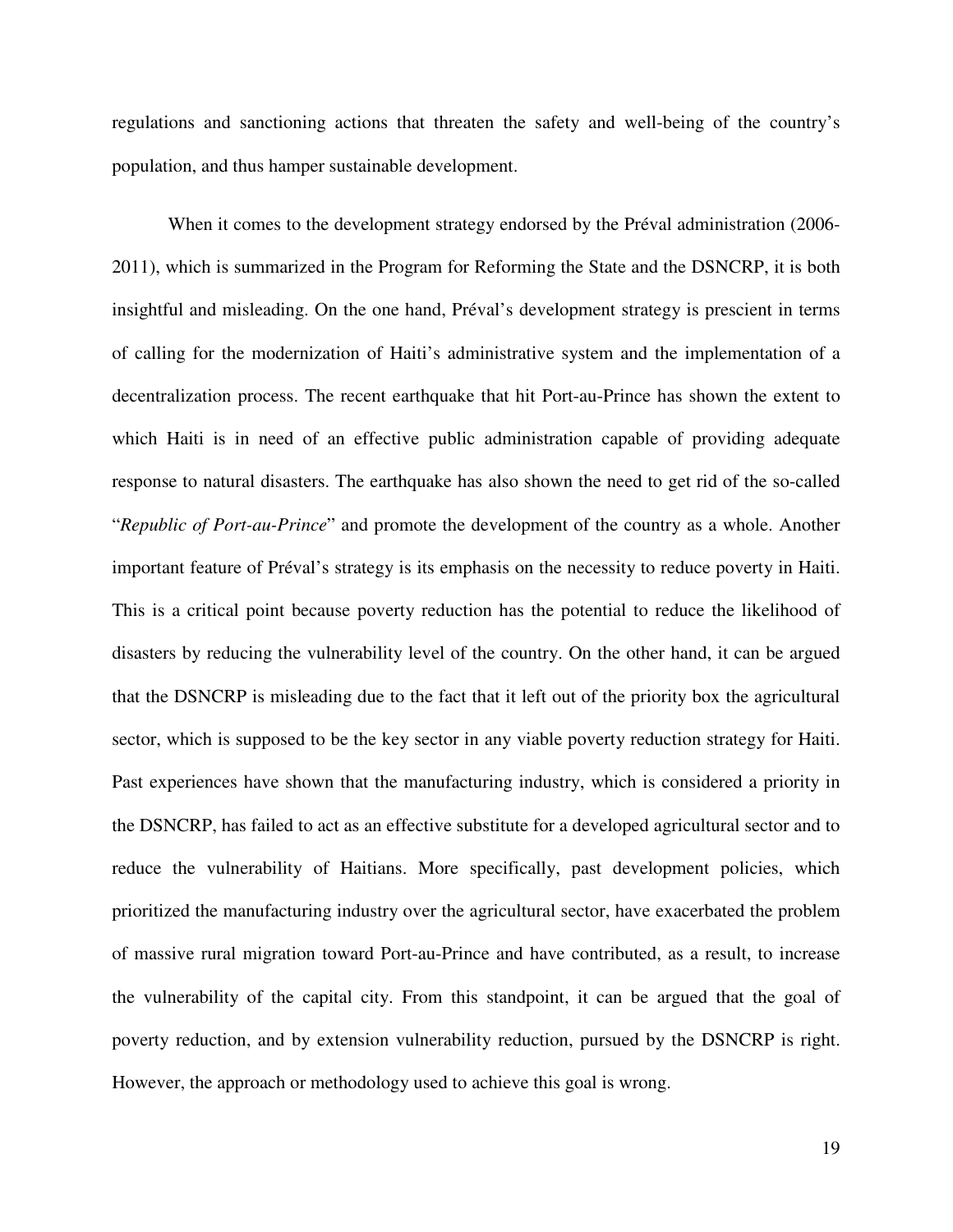regulations and sanctioning actions that threaten the safety and well-being of the country's population, and thus hamper sustainable development.

When it comes to the development strategy endorsed by the Préval administration (2006- 2011), which is summarized in the Program for Reforming the State and the DSNCRP, it is both insightful and misleading. On the one hand, Préval's development strategy is prescient in terms of calling for the modernization of Haiti's administrative system and the implementation of a decentralization process. The recent earthquake that hit Port-au-Prince has shown the extent to which Haiti is in need of an effective public administration capable of providing adequate response to natural disasters. The earthquake has also shown the need to get rid of the so-called "*Republic of Port-au-Prince*" and promote the development of the country as a whole. Another important feature of Préval's strategy is its emphasis on the necessity to reduce poverty in Haiti. This is a critical point because poverty reduction has the potential to reduce the likelihood of disasters by reducing the vulnerability level of the country. On the other hand, it can be argued that the DSNCRP is misleading due to the fact that it left out of the priority box the agricultural sector, which is supposed to be the key sector in any viable poverty reduction strategy for Haiti. Past experiences have shown that the manufacturing industry, which is considered a priority in the DSNCRP, has failed to act as an effective substitute for a developed agricultural sector and to reduce the vulnerability of Haitians. More specifically, past development policies, which prioritized the manufacturing industry over the agricultural sector, have exacerbated the problem of massive rural migration toward Port-au-Prince and have contributed, as a result, to increase the vulnerability of the capital city. From this standpoint, it can be argued that the goal of poverty reduction, and by extension vulnerability reduction, pursued by the DSNCRP is right. However, the approach or methodology used to achieve this goal is wrong.